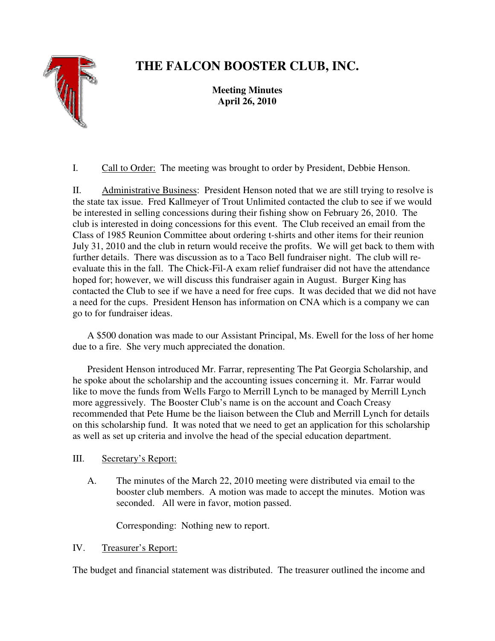

# **THE FALCON BOOSTER CLUB, INC.**

**Meeting Minutes April 26, 2010** 

I. Call to Order: The meeting was brought to order by President, Debbie Henson.

II. Administrative Business: President Henson noted that we are still trying to resolve is the state tax issue. Fred Kallmeyer of Trout Unlimited contacted the club to see if we would be interested in selling concessions during their fishing show on February 26, 2010. The club is interested in doing concessions for this event. The Club received an email from the Class of 1985 Reunion Committee about ordering t-shirts and other items for their reunion July 31, 2010 and the club in return would receive the profits. We will get back to them with further details. There was discussion as to a Taco Bell fundraiser night. The club will reevaluate this in the fall. The Chick-Fil-A exam relief fundraiser did not have the attendance hoped for; however, we will discuss this fundraiser again in August. Burger King has contacted the Club to see if we have a need for free cups. It was decided that we did not have a need for the cups. President Henson has information on CNA which is a company we can go to for fundraiser ideas.

 A \$500 donation was made to our Assistant Principal, Ms. Ewell for the loss of her home due to a fire. She very much appreciated the donation.

 President Henson introduced Mr. Farrar, representing The Pat Georgia Scholarship, and he spoke about the scholarship and the accounting issues concerning it. Mr. Farrar would like to move the funds from Wells Fargo to Merrill Lynch to be managed by Merrill Lynch more aggressively. The Booster Club's name is on the account and Coach Creasy recommended that Pete Hume be the liaison between the Club and Merrill Lynch for details on this scholarship fund. It was noted that we need to get an application for this scholarship as well as set up criteria and involve the head of the special education department.

### III. Secretary's Report:

 A. The minutes of the March 22, 2010 meeting were distributed via email to the booster club members. A motion was made to accept the minutes. Motion was seconded. All were in favor, motion passed.

Corresponding: Nothing new to report.

## IV. Treasurer's Report:

The budget and financial statement was distributed. The treasurer outlined the income and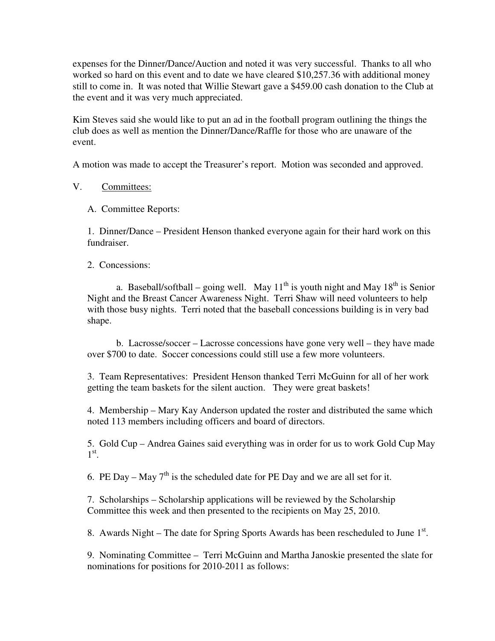expenses for the Dinner/Dance/Auction and noted it was very successful. Thanks to all who worked so hard on this event and to date we have cleared \$10,257.36 with additional money still to come in. It was noted that Willie Stewart gave a \$459.00 cash donation to the Club at the event and it was very much appreciated.

Kim Steves said she would like to put an ad in the football program outlining the things the club does as well as mention the Dinner/Dance/Raffle for those who are unaware of the event.

A motion was made to accept the Treasurer's report. Motion was seconded and approved.

## V. Committees:

A. Committee Reports:

1. Dinner/Dance – President Henson thanked everyone again for their hard work on this fundraiser.

2. Concessions:

a. Baseball/softball – going well. May  $11<sup>th</sup>$  is youth night and May  $18<sup>th</sup>$  is Senior Night and the Breast Cancer Awareness Night. Terri Shaw will need volunteers to help with those busy nights. Terri noted that the baseball concessions building is in very bad shape.

 b. Lacrosse/soccer – Lacrosse concessions have gone very well – they have made over \$700 to date. Soccer concessions could still use a few more volunteers.

3. Team Representatives: President Henson thanked Terri McGuinn for all of her work getting the team baskets for the silent auction. They were great baskets!

4. Membership – Mary Kay Anderson updated the roster and distributed the same which noted 113 members including officers and board of directors.

5. Gold Cup – Andrea Gaines said everything was in order for us to work Gold Cup May  $1^\text{st}$ .

6. PE Day – May  $7<sup>th</sup>$  is the scheduled date for PE Day and we are all set for it.

7. Scholarships – Scholarship applications will be reviewed by the Scholarship Committee this week and then presented to the recipients on May 25, 2010.

8. Awards Night – The date for Spring Sports Awards has been rescheduled to June  $1<sup>st</sup>$ .

9. Nominating Committee – Terri McGuinn and Martha Janoskie presented the slate for nominations for positions for 2010-2011 as follows: